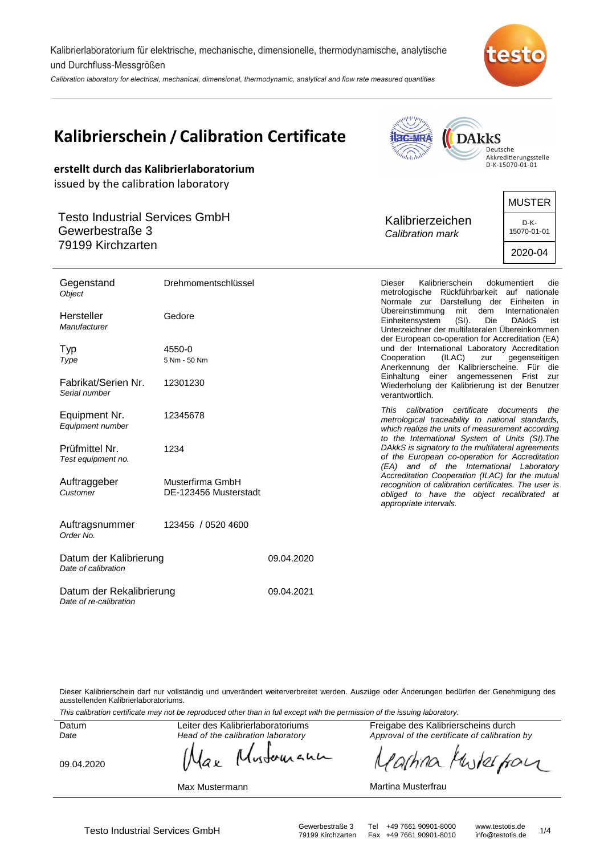Kalibrierlaboratorium für elektrische, mechanische, dimensionelle, thermodynamische, analytische und Durchfluss-Messgrößen

Calibration laboratory for electrical, mechanical, dimensional, thermodynamic, analytical and flow rate measured quantities



|                                                                               | <b>Kalibrierschein / Calibration Certificate</b><br>erstellt durch das Kalibrierlaboratorium | <b>DARKS</b><br><b>ac-MRA</b><br>Deutsche<br>$\eta_{\rm d}$ <sub>ulu</sub> lu<br>Akkreditierungsstelle<br>D-K-15070-01-01                                                              |                                                 |  |  |  |
|-------------------------------------------------------------------------------|----------------------------------------------------------------------------------------------|----------------------------------------------------------------------------------------------------------------------------------------------------------------------------------------|-------------------------------------------------|--|--|--|
| issued by the calibration laboratory                                          |                                                                                              |                                                                                                                                                                                        |                                                 |  |  |  |
| <b>Testo Industrial Services GmbH</b><br>Gewerbestraße 3<br>79199 Kirchzarten |                                                                                              | Kalibrierzeichen<br>Calibration mark                                                                                                                                                   | <b>MUSTER</b><br>D-K-<br>15070-01-01<br>2020-04 |  |  |  |
| Gegenstand<br><b>Object</b>                                                   | Drehmomentschlüssel                                                                          | Kalibrierschein<br><b>Dieser</b><br>metrologische Rückführbarkeit auf nationale<br>Normale zur Darstellung der Einheiten in                                                            | dokumentiert<br>die                             |  |  |  |
| Hersteller<br>Manufacturer                                                    | Gedore                                                                                       | dem<br>Übereinstimmung<br>mit<br>Einheitensystem<br>$(SI)$ .<br>Die<br>Unterzeichner der multilateralen Übereinkommen<br>der European co-operation for Accreditation (EA)              | Internationalen<br><b>DAKKS</b><br>ist          |  |  |  |
| Typ<br>Type                                                                   | 4550-0<br>5 Nm - 50 Nm                                                                       | und der International Laboratory Accreditation<br>(ILAC)<br>Cooperation<br>zur<br>Anerkennung der Kalibrierscheine. Für die                                                            | gegenseitigen                                   |  |  |  |
| Fabrikat/Serien Nr.<br>Serial number                                          | 12301230                                                                                     | Einhaltung einer angemessenen Frist zur<br>Wiederholung der Kalibrierung ist der Benutzer<br>verantwortlich.                                                                           |                                                 |  |  |  |
| Equipment Nr.<br>Equipment number                                             | 12345678                                                                                     | This calibration certificate<br>metrological traceability to national standards,<br>which realize the units of measurement according<br>to the International System of Units (SI). The | documents<br>the                                |  |  |  |
| Prüfmittel Nr.<br>Test equipment no.                                          | 1234                                                                                         | DAkkS is signatory to the multilateral agreements<br>of the European co-operation for Accreditation<br>(EA) and of the International Laboratory                                        |                                                 |  |  |  |
| Auftraggeber<br>Customer                                                      | Musterfirma GmbH<br>DE-123456 Musterstadt                                                    | Accreditation Cooperation (ILAC) for the mutual<br>recognition of calibration certificates. The user is<br>obliged to have the object recalibrated at<br>appropriate intervals.        |                                                 |  |  |  |
| Auftragsnummer<br>Order No.                                                   | 123456 / 0520 4600                                                                           |                                                                                                                                                                                        |                                                 |  |  |  |

| Datum der Kalibrierung<br>Date of calibration      | 09.04.2020 |
|----------------------------------------------------|------------|
| Datum der Rekalibrierung<br>Date of re-calibration | 09.04.2021 |

Dieser Kalibrierschein darf nur vollständig und unverändert weiterverbreitet werden. Auszüge oder Änderungen bedürfen der Genehmigung des ausstellenden Kalibrierlaboratoriums.

This calibration certificate may not be reproduced other than in full except with the permission of the issuing laboratory.

Datum Date

Leiter des Kalibrierlaboratoriums Head of the calibration laboratory

lutoman

09.04.2020

Max Mustermann

ak

Freigabe des Kalibrierscheins durch Approval of the certificate of calibration by

arhina Muterfour

#### Martina Musterfrau

Testo Industrial Services GmbH<br>79199 Kirchzarten Fax +49 7661 90901-8010 info@testotis.de 1/4

Fax +49 7661 90901-8010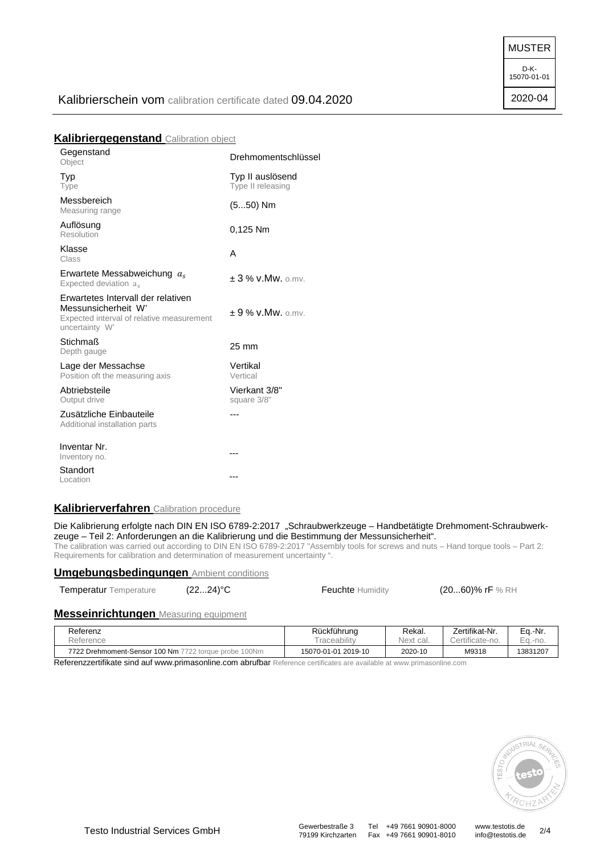MUSTER

15070-01-01

## Kalibrierschein vom calibration certificate dated 09.04.2020

#### **Kalibriergegenstand** Calibration object

| Gegenstand<br>Object                                                                                                     | Drehmomentschlüssel                   |
|--------------------------------------------------------------------------------------------------------------------------|---------------------------------------|
| Typ<br>Type                                                                                                              | Typ II auslösend<br>Type II releasing |
| Messbereich<br>Measuring range                                                                                           | $(550)$ Nm                            |
| Auflösung<br>Resolution                                                                                                  | 0,125 Nm                              |
| Klasse<br>Class                                                                                                          | А                                     |
| Erwartete Messabweichung $a_s$<br>Expected deviation a.                                                                  | $+3$ % v.Mw. o.mv.                    |
| Erwartetes Intervall der relativen<br>Messunsicherheit W'<br>Expected interval of relative measurement<br>uncertainty W' | $+9$ % v.Mw. o.mv.                    |
| <b>Stichmaß</b><br>Depth gauge                                                                                           | 25 mm                                 |
| Lage der Messachse<br>Position oft the measuring axis                                                                    | Vertikal<br>Vertical                  |
| Abtriebsteile<br>Output drive                                                                                            | Vierkant 3/8"<br>square 3/8"          |
| Zusätzliche Einbauteile<br>Additional installation parts                                                                 | ---                                   |
| Inventar Nr.<br>Inventory no.                                                                                            | ---                                   |
| Standort<br>Location                                                                                                     | ---                                   |

#### **Kalibrierverfahren** Calibration procedure

Die Kalibrierung erfolgte nach DIN EN ISO 6789-2:2017 "Schraubwerkzeuge – Handbetätigte Drehmoment-Schraubwerkzeuge – Teil 2: Anforderungen an die Kalibrierung und die Bestimmung der Messunsicherheit".

The calibration was carried out according to DIN EN ISO 6789-2:2017 "Assembly tools for screws and nuts – Hand torque tools – Part 2: Requirements for calibration and determination of measurement uncertainty ".

#### **Umgebungsbedingungen** Ambient conditions

Temperatur Temperature (22...24)<sup>°</sup>C Feuchte Humidity (20...60)% rF % RH

## **Messeinrichtungen** Measuring equipment

| Referenz                                              | Rückführung         | Rekal.    | Zertifikat-Nr.  | Eq.-Nr.  |
|-------------------------------------------------------|---------------------|-----------|-----------------|----------|
| Reference                                             | i raceability       | Next cal. | Certificate-no. | Ea.-no.  |
| 7722 Drehmoment-Sensor 100 Nm 7722 torque probe 100Nm | 15070-01-01 2019-10 | 2020-10   | M9318           | 13831207 |

Referenzzertifikate sind auf www.primasonline.com abrufbar Reference certificates are available at www.primasonline.com



D-K-

2020-04

Fax +49 7661 90901-8010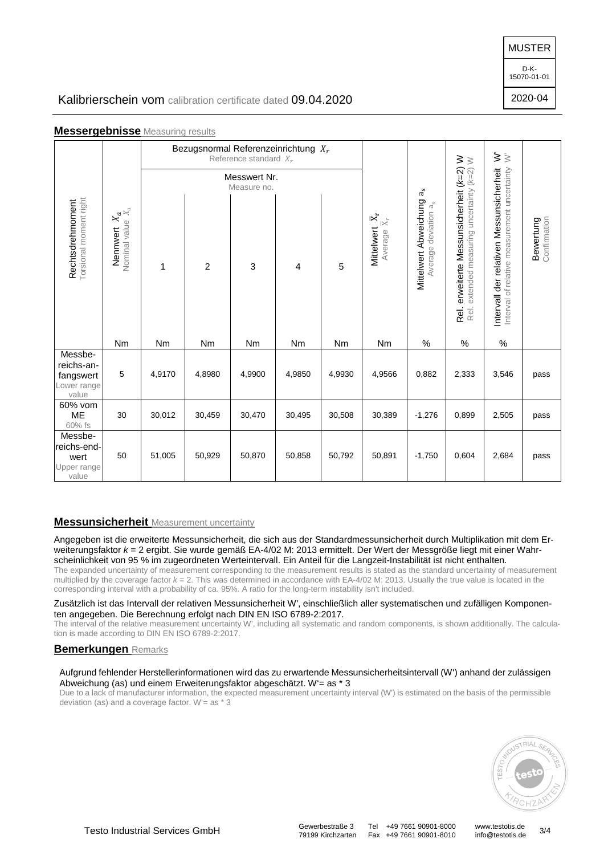#### MUSTER

D-K-15070-01-01

2020-04

# Kalibrierschein vom calibration certificate dated 09.04.2020

## **Messergebnisse** Measuring results

| Torsional moment right<br>Rechtsdrehmoment                 |                                           | Bezugsnormal Referenzeinrichtung $X_r$<br>Reference standard $X_r$<br>Messwert Nr. |                |                  |        |        |                                                                                      | $\dot{\geqslant}$                                                        |                                                                                                                                       |                                                                                          |                           |
|------------------------------------------------------------|-------------------------------------------|------------------------------------------------------------------------------------|----------------|------------------|--------|--------|--------------------------------------------------------------------------------------|--------------------------------------------------------------------------|---------------------------------------------------------------------------------------------------------------------------------------|------------------------------------------------------------------------------------------|---------------------------|
|                                                            | $X_{\alpha}$<br>Nominal value<br>Nennwert | 1                                                                                  | $\overline{c}$ | Measure no.<br>3 | 4      | 5      | $\overline{\mathbb{X}}_r$<br>$\overline{\mathbb{X}}_\Gamma$<br>Mittelwert<br>Average | $a_{\rm s}$<br>Mittelwert Abweichung<br>$a_{\rm s}$<br>Average deviation | erweiterte Messunsicherheit (k=2) W<br>extended measuring uncertainty (k=2) W<br>extended measuring uncertainty (k=2)<br>Rel.<br>Rei. | Intervall der relativen Messunsicherheit<br>Interval of relative measurement uncertainty | Confirmation<br>Bewertung |
|                                                            | Nm                                        | Nm                                                                                 | Nm             | Nm               | Nm     | Nm     | Nm                                                                                   | %                                                                        | $\%$                                                                                                                                  | $\%$                                                                                     |                           |
| Messbe-<br>reichs-an-<br>fangswert<br>Lower range<br>value | 5                                         | 4,9170                                                                             | 4,8980         | 4,9900           | 4,9850 | 4,9930 | 4,9566                                                                               | 0,882                                                                    | 2,333                                                                                                                                 | 3,546                                                                                    | pass                      |
| 60% vom<br><b>ME</b><br>60% fs                             | 30                                        | 30,012                                                                             | 30,459         | 30,470           | 30,495 | 30,508 | 30,389                                                                               | $-1,276$                                                                 | 0,899                                                                                                                                 | 2,505                                                                                    | pass                      |
| Messbe-<br>reichs-end-<br>wert<br>Upper range<br>value     | 50                                        | 51,005                                                                             | 50,929         | 50,870           | 50,858 | 50,792 | 50,891                                                                               | $-1,750$                                                                 | 0,604                                                                                                                                 | 2,684                                                                                    | pass                      |

#### **Messunsicherheit** Measurement uncertainty

Angegeben ist die erweiterte Messunsicherheit, die sich aus der Standardmessunsicherheit durch Multiplikation mit dem Erweiterungsfaktor  $k = 2$  ergibt. Sie wurde gemäß EA-4/02 M: 2013 ermittelt. Der Wert der Messgröße liegt mit einer Wahrscheinlichkeit von 95 % im zugeordneten Werteintervall. Ein Anteil für die Langzeit-Instabilität ist nicht enthalten. The expanded uncertainty of measurement corresponding to the measurement results is stated as the standard uncertainty of measurement

multiplied by the coverage factor  $k = 2$ . This was determined in accordance with EA-4/02 M: 2013. Usually the true value is located in the corresponding interval with a probability of ca. 95%. A ratio for the long-term instability isn't included.

Zusätzlich ist das Intervall der relativen Messunsicherheit W', einschließlich aller systematischen und zufälligen Komponenten angegeben. Die Berechnung erfolgt nach DIN EN ISO 6789-2:2017.

The interval of the relative measurement uncertainty W', including all systematic and random components, is shown additionally. The calculation is made according to DIN EN ISO 6789-2:2017.

#### **Bemerkungen** Remarks

#### Aufgrund fehlender Herstellerinformationen wird das zu erwartende Messunsicherheitsintervall (W') anhand der zulässigen Abweichung (as) und einem Erweiterungsfaktor abgeschätzt. W'= as \* 3

Due to a lack of manufacturer information, the expected measurement uncertainty interval (W') is estimated on the basis of the permissible deviation (as) and a coverage factor. W'= as \* 3



79199 Kirchzarten Fax +49 7661 90901-8010